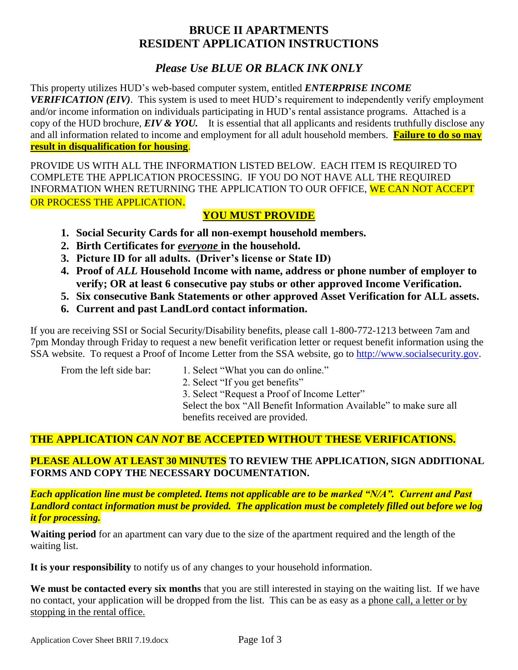# **BRUCE II APARTMENTS RESIDENT APPLICATION INSTRUCTIONS**

# *Please Use BLUE OR BLACK INK ONLY*

This property utilizes HUD's web-based computer system, entitled *ENTERPRISE INCOME VERIFICATION (EIV)*. This system is used to meet HUD's requirement to independently verify employment and/or income information on individuals participating in HUD's rental assistance programs. Attached is a copy of the HUD brochure, *EIV & YOU.* It is essential that all applicants and residents truthfully disclose any and all information related to income and employment for all adult household members. **Failure to do so may result in disqualification for housing**.

PROVIDE US WITH ALL THE INFORMATION LISTED BELOW. EACH ITEM IS REQUIRED TO COMPLETE THE APPLICATION PROCESSING. IF YOU DO NOT HAVE ALL THE REQUIRED INFORMATION WHEN RETURNING THE APPLICATION TO OUR OFFICE, WE CAN NOT ACCEPT OR PROCESS THE APPLICATION.

## **YOU MUST PROVIDE**

- **1. Social Security Cards for all non-exempt household members.**
- **2. Birth Certificates for** *everyone* **in the household.**
- **3. Picture ID for all adults. (Driver's license or State ID)**
- **4. Proof of** *ALL* **Household Income with name, address or phone number of employer to verify; OR at least 6 consecutive pay stubs or other approved Income Verification.**
- **5. Six consecutive Bank Statements or other approved Asset Verification for ALL assets.**
- **6. Current and past LandLord contact information.**

If you are receiving SSI or Social Security/Disability benefits, please call 1-800-772-1213 between 7am and 7pm Monday through Friday to request a new benefit verification letter or request benefit information using the SSA website. To request a Proof of Income Letter from the SSA website, go to [http://www.socialsecurity.gov.](http://www.socialsecurity.gov/)

- From the left side bar: 1. Select "What you can do online."
	- 2. Select "If you get benefits"
	- 3. Select "Request a Proof of Income Letter"

Select the box "All Benefit Information Available" to make sure all benefits received are provided.

# **THE APPLICATION** *CAN NOT* **BE ACCEPTED WITHOUT THESE VERIFICATIONS.**

## **PLEASE ALLOW AT LEAST 30 MINUTES TO REVIEW THE APPLICATION, SIGN ADDITIONAL FORMS AND COPY THE NECESSARY DOCUMENTATION.**

*Each application line must be completed. Items not applicable are to be marked "N/A". Current and Past Landlord contact information must be provided. The application must be completely filled out before we log it for processing.*

**Waiting period** for an apartment can vary due to the size of the apartment required and the length of the waiting list.

**It is your responsibility** to notify us of any changes to your household information.

**We must be contacted every six months** that you are still interested in staying on the waiting list. If we have no contact, your application will be dropped from the list. This can be as easy as a phone call, a letter or by stopping in the rental office.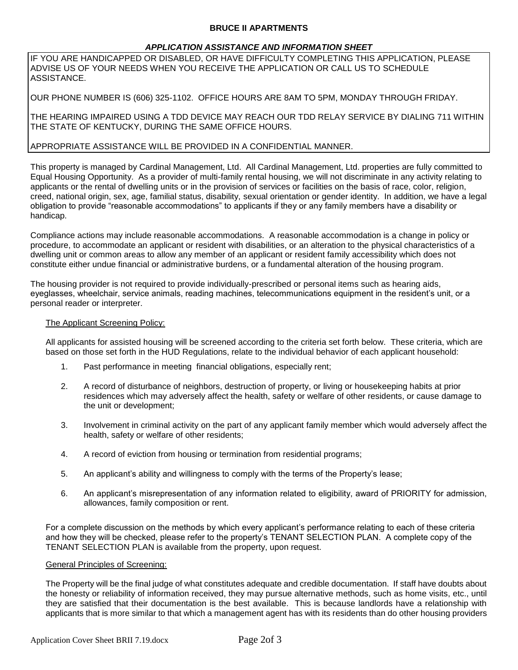#### **BRUCE II APARTMENTS**

#### *APPLICATION ASSISTANCE AND INFORMATION SHEET*

IF YOU ARE HANDICAPPED OR DISABLED, OR HAVE DIFFICULTY COMPLETING THIS APPLICATION, PLEASE ADVISE US OF YOUR NEEDS WHEN YOU RECEIVE THE APPLICATION OR CALL US TO SCHEDULE ASSISTANCE.

OUR PHONE NUMBER IS (606) 325-1102. OFFICE HOURS ARE 8AM TO 5PM, MONDAY THROUGH FRIDAY.

THE HEARING IMPAIRED USING A TDD DEVICE MAY REACH OUR TDD RELAY SERVICE BY DIALING 711 WITHIN THE STATE OF KENTUCKY, DURING THE SAME OFFICE HOURS.

#### APPROPRIATE ASSISTANCE WILL BE PROVIDED IN A CONFIDENTIAL MANNER.

This property is managed by Cardinal Management, Ltd. All Cardinal Management, Ltd. properties are fully committed to Equal Housing Opportunity. As a provider of multi-family rental housing, we will not discriminate in any activity relating to applicants or the rental of dwelling units or in the provision of services or facilities on the basis of race, color, religion, creed, national origin, sex, age, familial status, disability, sexual orientation or gender identity. In addition, we have a legal obligation to provide "reasonable accommodations" to applicants if they or any family members have a disability or handicap.

Compliance actions may include reasonable accommodations. A reasonable accommodation is a change in policy or procedure, to accommodate an applicant or resident with disabilities, or an alteration to the physical characteristics of a dwelling unit or common areas to allow any member of an applicant or resident family accessibility which does not constitute either undue financial or administrative burdens, or a fundamental alteration of the housing program.

The housing provider is not required to provide individually-prescribed or personal items such as hearing aids, eyeglasses, wheelchair, service animals, reading machines, telecommunications equipment in the resident's unit, or a personal reader or interpreter.

#### The Applicant Screening Policy:

All applicants for assisted housing will be screened according to the criteria set forth below. These criteria, which are based on those set forth in the HUD Regulations, relate to the individual behavior of each applicant household:

- 1. Past performance in meeting financial obligations, especially rent;
- 2. A record of disturbance of neighbors, destruction of property, or living or housekeeping habits at prior residences which may adversely affect the health, safety or welfare of other residents, or cause damage to the unit or development;
- 3. Involvement in criminal activity on the part of any applicant family member which would adversely affect the health, safety or welfare of other residents;
- 4. A record of eviction from housing or termination from residential programs;
- 5. An applicant's ability and willingness to comply with the terms of the Property's lease;
- 6. An applicant's misrepresentation of any information related to eligibility, award of PRIORITY for admission, allowances, family composition or rent.

For a complete discussion on the methods by which every applicant's performance relating to each of these criteria and how they will be checked, please refer to the property's TENANT SELECTION PLAN. A complete copy of the TENANT SELECTION PLAN is available from the property, upon request.

#### General Principles of Screening:

The Property will be the final judge of what constitutes adequate and credible documentation. If staff have doubts about the honesty or reliability of information received, they may pursue alternative methods, such as home visits, etc., until they are satisfied that their documentation is the best available. This is because landlords have a relationship with applicants that is more similar to that which a management agent has with its residents than do other housing providers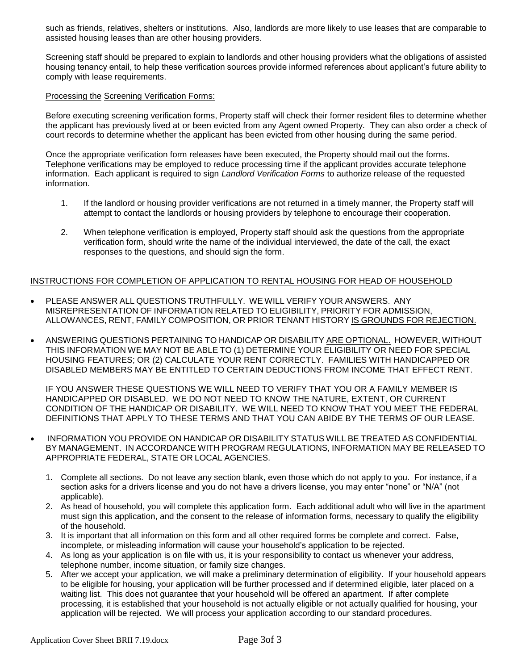such as friends, relatives, shelters or institutions. Also, landlords are more likely to use leases that are comparable to assisted housing leases than are other housing providers.

Screening staff should be prepared to explain to landlords and other housing providers what the obligations of assisted housing tenancy entail, to help these verification sources provide informed references about applicant's future ability to comply with lease requirements.

#### Processing the Screening Verification Forms:

Before executing screening verification forms, Property staff will check their former resident files to determine whether the applicant has previously lived at or been evicted from any Agent owned Property. They can also order a check of court records to determine whether the applicant has been evicted from other housing during the same period.

Once the appropriate verification form releases have been executed, the Property should mail out the forms. Telephone verifications may be employed to reduce processing time if the applicant provides accurate telephone information. Each applicant is required to sign *Landlord Verification Forms* to authorize release of the requested information.

- 1. If the landlord or housing provider verifications are not returned in a timely manner, the Property staff will attempt to contact the landlords or housing providers by telephone to encourage their cooperation.
- 2. When telephone verification is employed, Property staff should ask the questions from the appropriate verification form, should write the name of the individual interviewed, the date of the call, the exact responses to the questions, and should sign the form.

#### INSTRUCTIONS FOR COMPLETION OF APPLICATION TO RENTAL HOUSING FOR HEAD OF HOUSEHOLD

- PLEASE ANSWER ALL QUESTIONS TRUTHFULLY. WE WILL VERIFY YOUR ANSWERS. ANY MISREPRESENTATION OF INFORMATION RELATED TO ELIGIBILITY, PRIORITY FOR ADMISSION, ALLOWANCES, RENT, FAMILY COMPOSITION, OR PRIOR TENANT HISTORY IS GROUNDS FOR REJECTION.
- ANSWERING QUESTIONS PERTAINING TO HANDICAP OR DISABILITY ARE OPTIONAL. HOWEVER, WITHOUT THIS INFORMATION WE MAY NOT BE ABLE TO (1) DETERMINE YOUR ELIGIBILITY OR NEED FOR SPECIAL HOUSING FEATURES; OR (2) CALCULATE YOUR RENT CORRECTLY. FAMILIES WITH HANDICAPPED OR DISABLED MEMBERS MAY BE ENTITLED TO CERTAIN DEDUCTIONS FROM INCOME THAT EFFECT RENT.

IF YOU ANSWER THESE QUESTIONS WE WILL NEED TO VERIFY THAT YOU OR A FAMILY MEMBER IS HANDICAPPED OR DISABLED. WE DO NOT NEED TO KNOW THE NATURE, EXTENT, OR CURRENT CONDITION OF THE HANDICAP OR DISABILITY. WE WILL NEED TO KNOW THAT YOU MEET THE FEDERAL DEFINITIONS THAT APPLY TO THESE TERMS AND THAT YOU CAN ABIDE BY THE TERMS OF OUR LEASE.

- INFORMATION YOU PROVIDE ON HANDICAP OR DISABILITY STATUS WILL BE TREATED AS CONFIDENTIAL BY MANAGEMENT. IN ACCORDANCE WITH PROGRAM REGULATIONS, INFORMATION MAY BE RELEASED TO APPROPRIATE FEDERAL, STATE OR LOCAL AGENCIES.
	- 1. Complete all sections. Do not leave any section blank, even those which do not apply to you. For instance, if a section asks for a drivers license and you do not have a drivers license, you may enter "none" or "N/A" (not applicable).
	- 2. As head of household, you will complete this application form. Each additional adult who will live in the apartment must sign this application, and the consent to the release of information forms, necessary to qualify the eligibility of the household.
	- 3. It is important that all information on this form and all other required forms be complete and correct. False, incomplete, or misleading information will cause your household's application to be rejected.
	- 4. As long as your application is on file with us, it is your responsibility to contact us whenever your address, telephone number, income situation, or family size changes.
	- 5. After we accept your application, we will make a preliminary determination of eligibility. If your household appears to be eligible for housing, your application will be further processed and if determined eligible, later placed on a waiting list. This does not guarantee that your household will be offered an apartment. If after complete processing, it is established that your household is not actually eligible or not actually qualified for housing, your application will be rejected. We will process your application according to our standard procedures.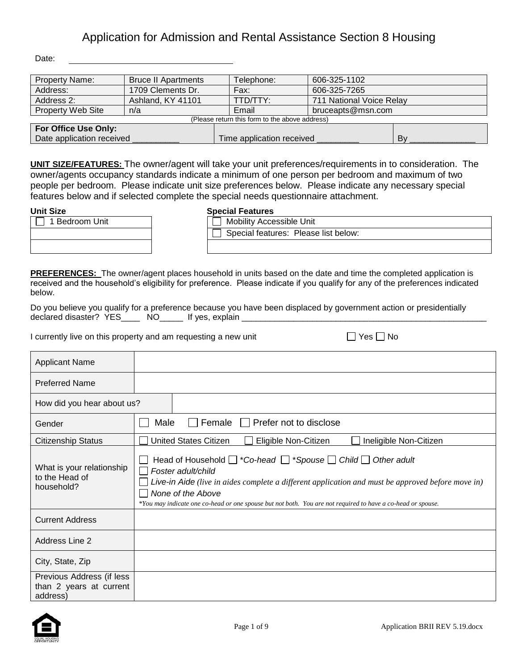Date:

| <b>Property Name:</b>     | <b>Bruce II Apartments</b>                     | Telephone:                | 606-325-1102             |    |  |  |
|---------------------------|------------------------------------------------|---------------------------|--------------------------|----|--|--|
| Address:                  | 1709 Clements Dr.                              | Fax:                      | 606-325-7265             |    |  |  |
| Address 2:                | Ashland, KY 41101                              | TTD/TTY:                  | 711 National Voice Relay |    |  |  |
| Property Web Site         | n/a                                            | Email                     | bruceapts@msn.com        |    |  |  |
|                           | (Please return this form to the above address) |                           |                          |    |  |  |
| For Office Use Only:      |                                                |                           |                          |    |  |  |
| Date application received |                                                | Time application received |                          | Bv |  |  |

**UNIT SIZE/FEATURES:** The owner/agent will take your unit preferences/requirements in to consideration. The owner/agents occupancy standards indicate a minimum of one person per bedroom and maximum of two people per bedroom. Please indicate unit size preferences below. Please indicate any necessary special features below and if selected complete the special needs questionnaire attachment.

|                | <u> 88981 - 88981 - 88</u>      |
|----------------|---------------------------------|
| 1 Bedroom Unit | <b>Mobility Accessible Unit</b> |
|                | Special features: Pleas         |
|                |                                 |

### **Unit Size Special Features**

| iecial Fealuites                     |
|--------------------------------------|
| Mobility Accessible Unit             |
| Special features: Please list below: |
|                                      |

**PREFERENCES:** The owner/agent places household in units based on the date and time the completed application is received and the household's eligibility for preference. Please indicate if you qualify for any of the preferences indicated below.

Do you believe you qualify for a preference because you have been displaced by government action or presidentially declared disaster? YES\_\_\_\_\_\_\_ NO\_\_\_\_\_\_\_\_ If yes, explain \_\_

I currently live on this property and am requesting a new unit  $\Box$  Yes  $\Box$  No

| Applicant Name                                                   |                                                                                                                                                                                                                                                                                                                                                 |
|------------------------------------------------------------------|-------------------------------------------------------------------------------------------------------------------------------------------------------------------------------------------------------------------------------------------------------------------------------------------------------------------------------------------------|
| <b>Preferred Name</b>                                            |                                                                                                                                                                                                                                                                                                                                                 |
| How did you hear about us?                                       |                                                                                                                                                                                                                                                                                                                                                 |
| Gender                                                           | Female $\Box$<br>Prefer not to disclose<br>Male                                                                                                                                                                                                                                                                                                 |
| <b>Citizenship Status</b>                                        | <b>United States Citizen</b><br>Eligible Non-Citizen<br>Ineligible Non-Citizen                                                                                                                                                                                                                                                                  |
| What is your relationship<br>to the Head of<br>household?        | Head of Household $\Box$ *Co-head $\Box$ *Spouse $\Box$ Child $\Box$ Other adult<br>Foster adult/child<br>Live-in Aide (live in aides complete a different application and must be approved before move in)<br>None of the Above<br>*You may indicate one co-head or one spouse but not both. You are not required to have a co-head or spouse. |
| <b>Current Address</b>                                           |                                                                                                                                                                                                                                                                                                                                                 |
| Address Line 2                                                   |                                                                                                                                                                                                                                                                                                                                                 |
| City, State, Zip                                                 |                                                                                                                                                                                                                                                                                                                                                 |
| Previous Address (if less<br>than 2 years at current<br>address) |                                                                                                                                                                                                                                                                                                                                                 |

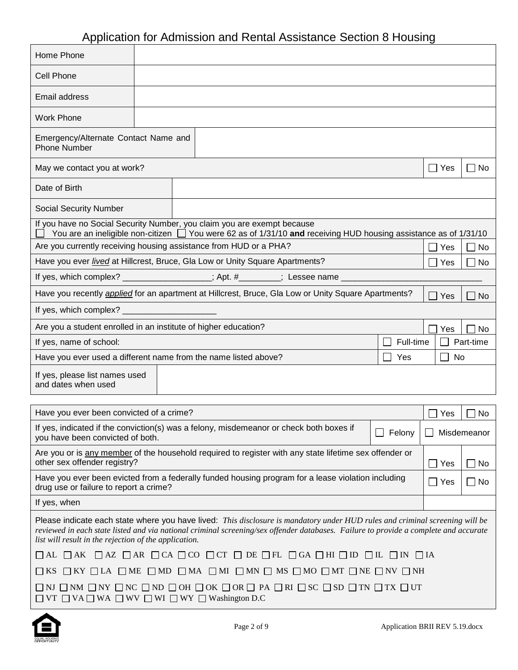| Home Phone                                                                                                                                                                            |  |  |                                                                                                                                                                                                                                                                      |  |           |               |             |
|---------------------------------------------------------------------------------------------------------------------------------------------------------------------------------------|--|--|----------------------------------------------------------------------------------------------------------------------------------------------------------------------------------------------------------------------------------------------------------------------|--|-----------|---------------|-------------|
| <b>Cell Phone</b>                                                                                                                                                                     |  |  |                                                                                                                                                                                                                                                                      |  |           |               |             |
| Email address                                                                                                                                                                         |  |  |                                                                                                                                                                                                                                                                      |  |           |               |             |
| <b>Work Phone</b>                                                                                                                                                                     |  |  |                                                                                                                                                                                                                                                                      |  |           |               |             |
| Emergency/Alternate Contact Name and<br><b>Phone Number</b>                                                                                                                           |  |  |                                                                                                                                                                                                                                                                      |  |           |               |             |
| May we contact you at work?                                                                                                                                                           |  |  |                                                                                                                                                                                                                                                                      |  |           | $\Box$ Yes    | ∣ ∣ No      |
| Date of Birth                                                                                                                                                                         |  |  |                                                                                                                                                                                                                                                                      |  |           |               |             |
| <b>Social Security Number</b>                                                                                                                                                         |  |  |                                                                                                                                                                                                                                                                      |  |           |               |             |
|                                                                                                                                                                                       |  |  | If you have no Social Security Number, you claim you are exempt because<br>You are an ineligible non-citizen $\Box$ You were 62 as of 1/31/10 and receiving HUD housing assistance as of 1/31/10                                                                     |  |           |               |             |
| Are you currently receiving housing assistance from HUD or a PHA?                                                                                                                     |  |  |                                                                                                                                                                                                                                                                      |  |           | Yes           | $\Box$ No   |
|                                                                                                                                                                                       |  |  | Have you ever lived at Hillcrest, Bruce, Gla Low or Unity Square Apartments?                                                                                                                                                                                         |  |           | Yes           | $\sqcap$ No |
|                                                                                                                                                                                       |  |  | If yes, which complex? _________________; Apt. #_______; Lessee name _____                                                                                                                                                                                           |  |           |               |             |
|                                                                                                                                                                                       |  |  | Have you recently <i>applied</i> for an apartment at Hillcrest, Bruce, Gla Low or Unity Square Apartments?                                                                                                                                                           |  |           | Yes           | ∣ ∣No       |
| If yes, which complex?                                                                                                                                                                |  |  |                                                                                                                                                                                                                                                                      |  |           |               |             |
| Are you a student enrolled in an institute of higher education?                                                                                                                       |  |  |                                                                                                                                                                                                                                                                      |  |           | Yes           | No          |
| If yes, name of school:                                                                                                                                                               |  |  |                                                                                                                                                                                                                                                                      |  | Full-time |               | Part-time   |
| Have you ever used a different name from the name listed above?                                                                                                                       |  |  |                                                                                                                                                                                                                                                                      |  | Yes       | No            |             |
| If yes, please list names used<br>and dates when used                                                                                                                                 |  |  |                                                                                                                                                                                                                                                                      |  |           |               |             |
| Have you ever been convicted of a crime?                                                                                                                                              |  |  |                                                                                                                                                                                                                                                                      |  |           | Yes           | No.         |
| you have been convicted of both.                                                                                                                                                      |  |  | If yes, indicated if the conviction(s) was a felony, misdemeanor or check both boxes if                                                                                                                                                                              |  | Felony    |               | Misdemeanor |
| other sex offender registry?                                                                                                                                                          |  |  | Are you or is any member of the household required to register with any state lifetime sex offender or                                                                                                                                                               |  |           | Yes           | $\Box$ No   |
|                                                                                                                                                                                       |  |  | Have you ever been evicted from a federally funded housing program for a lease violation including                                                                                                                                                                   |  |           | $\square$ Yes | $\Box$ No   |
| drug use or failure to report a crime?<br>If yes, when                                                                                                                                |  |  |                                                                                                                                                                                                                                                                      |  |           |               |             |
|                                                                                                                                                                                       |  |  |                                                                                                                                                                                                                                                                      |  |           |               |             |
| list will result in the rejection of the application.                                                                                                                                 |  |  | Please indicate each state where you have lived: This disclosure is mandatory under HUD rules and criminal screening will be<br>reviewed in each state listed and via national criminal screening/sex offender databases. Failure to provide a complete and accurate |  |           |               |             |
|                                                                                                                                                                                       |  |  | $\Box$ AL $\Box$ AK $\Box$ AZ $\Box$ AR $\Box$ CA $\Box$ CO $\Box$ CT $\Box$ DE $\Box$ FL $\Box$ GA $\Box$ HI $\Box$ ID $\Box$ IL $\Box$ IN $\Box$ IA                                                                                                                |  |           |               |             |
| $\square$ KS $\square$ KY $\square$ LA $\square$ ME $\square$ MD $\square$ MA $\square$ MI $\square$ MN $\square$ MS $\square$ MO $\square$ MT $\square$ NE $\square$ NV $\square$ NH |  |  |                                                                                                                                                                                                                                                                      |  |           |               |             |
| $\Box$ VT $\Box$ VA $\Box$ WA $\Box$ WV $\Box$ WI $\Box$ WY $\Box$ Washington D.C                                                                                                     |  |  | $\square$ ni $\square$ nm $\square$ ny $\square$ nc $\square$ nd $\square$ oh $\square$ ok $\square$ or $\square$ PA $\square$ RI $\square$ SC $\square$ SD $\square$ TN $\square$ TX $\square$ UT                                                                   |  |           |               |             |



 $\mathbf{r}$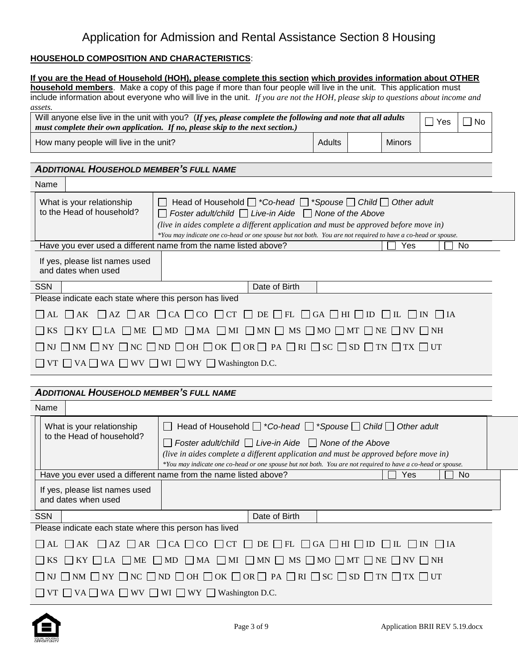### **HOUSEHOLD COMPOSITION AND CHARACTERISTICS**:

|                                                                                                                                                                                                                                                                                                     | If you are the Head of Household (HOH), please complete this section which provides information about OTHER<br>household members. Make a copy of this page if more than four people will live in the unit. This application must                                                                                                                           |        |               |                    |             |  |
|-----------------------------------------------------------------------------------------------------------------------------------------------------------------------------------------------------------------------------------------------------------------------------------------------------|------------------------------------------------------------------------------------------------------------------------------------------------------------------------------------------------------------------------------------------------------------------------------------------------------------------------------------------------------------|--------|---------------|--------------------|-------------|--|
|                                                                                                                                                                                                                                                                                                     | include information about everyone who will live in the unit. If you are not the HOH, please skip to questions about income and                                                                                                                                                                                                                            |        |               |                    |             |  |
| assets.                                                                                                                                                                                                                                                                                             | Will anyone else live in the unit with you? (If yes, please complete the following and note that all adults<br>must complete their own application. If no, please skip to the next section.)                                                                                                                                                               |        |               | $\Box$ Yes         | $\sqcap$ No |  |
| How many people will live in the unit?                                                                                                                                                                                                                                                              |                                                                                                                                                                                                                                                                                                                                                            | Adults | <b>Minors</b> |                    |             |  |
|                                                                                                                                                                                                                                                                                                     |                                                                                                                                                                                                                                                                                                                                                            |        |               |                    |             |  |
| <b>ADDITIONAL HOUSEHOLD MEMBER'S FULL NAME</b>                                                                                                                                                                                                                                                      |                                                                                                                                                                                                                                                                                                                                                            |        |               |                    |             |  |
| Name                                                                                                                                                                                                                                                                                                |                                                                                                                                                                                                                                                                                                                                                            |        |               |                    |             |  |
| What is your relationship<br>to the Head of household?                                                                                                                                                                                                                                              | Head of Household $\Box$ *Co-head $\Box$ *Spouse $\Box$ Child $\Box$ Other adult<br>Foster adult/child $\Box$ Live-in Aide $\Box$ None of the Above<br>(live in aides complete a different application and must be approved before move in)<br>*You may indicate one co-head or one spouse but not both. You are not required to have a co-head or spouse. |        |               |                    |             |  |
|                                                                                                                                                                                                                                                                                                     | Have you ever used a different name from the name listed above?                                                                                                                                                                                                                                                                                            |        | Yes           |                    | No          |  |
| If yes, please list names used<br>and dates when used                                                                                                                                                                                                                                               |                                                                                                                                                                                                                                                                                                                                                            |        |               |                    |             |  |
| <b>SSN</b>                                                                                                                                                                                                                                                                                          | Date of Birth                                                                                                                                                                                                                                                                                                                                              |        |               |                    |             |  |
| Please indicate each state where this person has lived                                                                                                                                                                                                                                              |                                                                                                                                                                                                                                                                                                                                                            |        |               |                    |             |  |
| $\overline{\phantom{a}}$ AL                                                                                                                                                                                                                                                                         | $\Box$ AK $\Box$ AZ $\Box$ AR $\Box$ CA $\Box$ CO $\Box$ CT $\Box$ DE $\Box$ FL $\Box$ GA $\Box$ HI $\Box$ ID $\Box$ IL $\Box$ IN $\Box$ IA                                                                                                                                                                                                                |        |               |                    |             |  |
| <b>KS</b>                                                                                                                                                                                                                                                                                           | $\Box$ KY $\Box$ LA $\Box$ ME $\Box$ MD $\Box$ MA $\Box$ MI $\Box$ MN $\Box$ MS $\Box$ MO $\Box$ MT $\Box$ NE $\Box$ NV $\Box$ NH                                                                                                                                                                                                                          |        |               |                    |             |  |
|                                                                                                                                                                                                                                                                                                     | NJ $\Box$ NM $\Box$ NY $\Box$ NC $\Box$ ND $\Box$ OH $\Box$ OK $\Box$ OR $\Box$ PA $\Box$ RI $\Box$ SC $\Box$ SD $\Box$ TN $\Box$ TX $\Box$ UT                                                                                                                                                                                                             |        |               |                    |             |  |
|                                                                                                                                                                                                                                                                                                     | VT $\Box$ VA $\Box$ WA $\Box$ WV $\Box$ WI $\Box$ WY $\Box$ Washington D.C.                                                                                                                                                                                                                                                                                |        |               |                    |             |  |
|                                                                                                                                                                                                                                                                                                     |                                                                                                                                                                                                                                                                                                                                                            |        |               |                    |             |  |
| <b>ADDITIONAL HOUSEHOLD MEMBER'S FULL NAME</b>                                                                                                                                                                                                                                                      |                                                                                                                                                                                                                                                                                                                                                            |        |               |                    |             |  |
| Name                                                                                                                                                                                                                                                                                                |                                                                                                                                                                                                                                                                                                                                                            |        |               |                    |             |  |
| What is your relationship                                                                                                                                                                                                                                                                           | Head of Household $\Box$ *Co-head $\Box$ *Spouse $\Box$ Child $\Box$ Other adult<br>$\Box$                                                                                                                                                                                                                                                                 |        |               |                    |             |  |
| to the Head of household?<br>Foster adult/child $\Box$ Live-in Aide $\Box$ None of the Above<br>(live in aides complete a different application and must be approved before move in)<br>*You may indicate one co-head or one spouse but not both. You are not required to have a co-head or spouse. |                                                                                                                                                                                                                                                                                                                                                            |        |               |                    |             |  |
|                                                                                                                                                                                                                                                                                                     | Have you ever used a different name from the name listed above?                                                                                                                                                                                                                                                                                            |        | Yes           |                    | No          |  |
| If yes, please list names used<br>and dates when used                                                                                                                                                                                                                                               |                                                                                                                                                                                                                                                                                                                                                            |        |               |                    |             |  |
| <b>SSN</b>                                                                                                                                                                                                                                                                                          | Date of Birth                                                                                                                                                                                                                                                                                                                                              |        |               |                    |             |  |
| Please indicate each state where this person has lived                                                                                                                                                                                                                                              |                                                                                                                                                                                                                                                                                                                                                            |        |               |                    |             |  |
| $\Box$ AK<br>$\mathsf{AL}$                                                                                                                                                                                                                                                                          | $\Box$ AZ $\Box$ AR $\Box$ CA $\Box$ CO $\Box$ CT $\Box$ DE $\Box$ FL $\Box$ GA $\Box$ HI $\Box$ ID $\Box$ IL $\Box$ IN                                                                                                                                                                                                                                    |        |               | $\vert$ $\vert$ IA |             |  |
|                                                                                                                                                                                                                                                                                                     | $\Box$ KY $\Box$ LA $\Box$ ME $\Box$ MD $\Box$ MA $\Box$ MI $\Box$ MN $\Box$ MS $\Box$ MO $\Box$ MT $\Box$ NE $\Box$ NV $\Box$ NH                                                                                                                                                                                                                          |        |               |                    |             |  |
|                                                                                                                                                                                                                                                                                                     | $\Box$ NM $\Box$ NY $\Box$ NC $\Box$ ND $\Box$ OH $\Box$ OK $\Box$ OR $\Box$ PA $\Box$ RI $\Box$ SC $\Box$ SD $\Box$ TN $\Box$ TX $\Box$ UT                                                                                                                                                                                                                |        |               |                    |             |  |
| $\Box$ VT $\Box$ VA $\Box$ WA $\Box$ WV $\Box$ WI $\Box$ WY $\Box$ Washington D.C.                                                                                                                                                                                                                  |                                                                                                                                                                                                                                                                                                                                                            |        |               |                    |             |  |

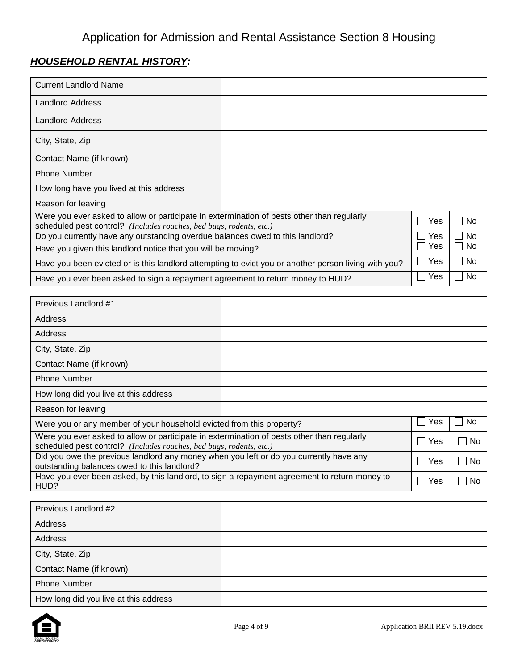# *HOUSEHOLD RENTAL HISTORY:*

| <b>Current Landlord Name</b>                                                                                                                                      |  |     |           |
|-------------------------------------------------------------------------------------------------------------------------------------------------------------------|--|-----|-----------|
| <b>Landlord Address</b>                                                                                                                                           |  |     |           |
| <b>Landlord Address</b>                                                                                                                                           |  |     |           |
| City, State, Zip                                                                                                                                                  |  |     |           |
| Contact Name (if known)                                                                                                                                           |  |     |           |
| <b>Phone Number</b>                                                                                                                                               |  |     |           |
| How long have you lived at this address                                                                                                                           |  |     |           |
| Reason for leaving                                                                                                                                                |  |     |           |
| Were you ever asked to allow or participate in extermination of pests other than regularly<br>scheduled pest control? (Includes roaches, bed bugs, rodents, etc.) |  | Yes | No        |
| Do you currently have any outstanding overdue balances owed to this landlord?                                                                                     |  | Yes | <b>No</b> |
| Have you given this landlord notice that you will be moving?                                                                                                      |  |     | No.       |
| Have you been evicted or is this landlord attempting to evict you or another person living with you?                                                              |  |     | No        |
| Have you ever been asked to sign a repayment agreement to return money to HUD?                                                                                    |  | Yes | No        |

| Previous Landlord #1                                                                                                                                              |  |     |              |
|-------------------------------------------------------------------------------------------------------------------------------------------------------------------|--|-----|--------------|
| Address                                                                                                                                                           |  |     |              |
| Address                                                                                                                                                           |  |     |              |
| City, State, Zip                                                                                                                                                  |  |     |              |
| Contact Name (if known)                                                                                                                                           |  |     |              |
| <b>Phone Number</b>                                                                                                                                               |  |     |              |
| How long did you live at this address                                                                                                                             |  |     |              |
| Reason for leaving                                                                                                                                                |  |     |              |
| Were you or any member of your household evicted from this property?                                                                                              |  | Yes | No.          |
| Were you ever asked to allow or participate in extermination of pests other than regularly<br>scheduled pest control? (Includes roaches, bed bugs, rodents, etc.) |  | Yes | No<br>$\sim$ |
| Did you owe the previous landlord any money when you left or do you currently have any<br>outstanding balances owed to this landlord?                             |  |     | No           |
| Have you ever been asked, by this landlord, to sign a repayment agreement to return money to<br>HUD?                                                              |  | Yes | No           |

| Previous Landlord #2                  |  |
|---------------------------------------|--|
| Address                               |  |
| Address                               |  |
| City, State, Zip                      |  |
| Contact Name (if known)               |  |
| <b>Phone Number</b>                   |  |
| How long did you live at this address |  |

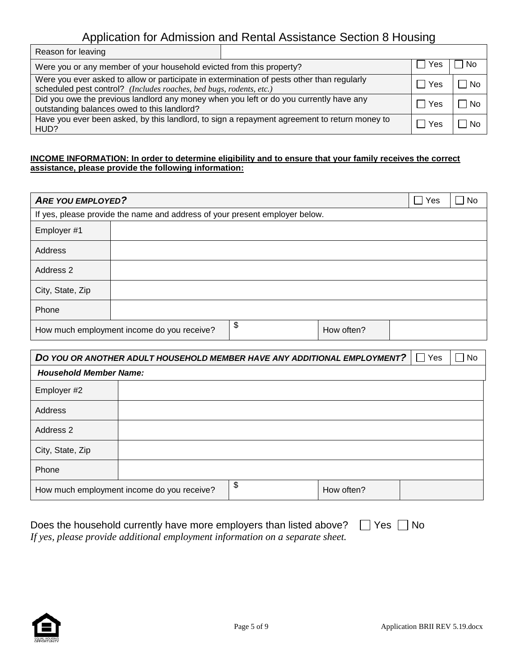| Reason for leaving                                                                                                                                                |            |      |     |
|-------------------------------------------------------------------------------------------------------------------------------------------------------------------|------------|------|-----|
| Were you or any member of your household evicted from this property?                                                                                              | <b>Yes</b> | No   |     |
| Were you ever asked to allow or participate in extermination of pests other than regularly<br>scheduled pest control? (Includes roaches, bed bugs, rodents, etc.) | Yes        | ∣ No |     |
| Did you owe the previous landlord any money when you left or do you currently have any<br>outstanding balances owed to this landlord?                             |            |      | No  |
| Have you ever been asked, by this landlord, to sign a repayment agreement to return money to<br>HUD?                                                              |            | Yes  | No. |

#### **INCOME INFORMATION: In order to determine eligibility and to ensure that your family receives the correct assistance, please provide the following information:**

| <b>ARE YOU EMPLOYED?</b> |                                                                             |                  | $\overline{\phantom{a}}$<br>Yes | <b>No</b> |
|--------------------------|-----------------------------------------------------------------------------|------------------|---------------------------------|-----------|
|                          | If yes, please provide the name and address of your present employer below. |                  |                                 |           |
| Employer #1              |                                                                             |                  |                                 |           |
| Address                  |                                                                             |                  |                                 |           |
| Address 2                |                                                                             |                  |                                 |           |
| City, State, Zip         |                                                                             |                  |                                 |           |
| Phone                    |                                                                             |                  |                                 |           |
|                          | How much employment income do you receive?                                  | \$<br>How often? |                                 |           |

| DO YOU OR ANOTHER ADULT HOUSEHOLD MEMBER HAVE ANY ADDITIONAL EMPLOYMENT? | Yes                                        | $\Box$ No        |  |  |
|--------------------------------------------------------------------------|--------------------------------------------|------------------|--|--|
| <b>Household Member Name:</b>                                            |                                            |                  |  |  |
| Employer #2                                                              |                                            |                  |  |  |
| Address                                                                  |                                            |                  |  |  |
| Address 2                                                                |                                            |                  |  |  |
| City, State, Zip                                                         |                                            |                  |  |  |
| Phone                                                                    |                                            |                  |  |  |
|                                                                          | How much employment income do you receive? | \$<br>How often? |  |  |

| Does the household currently have more employers than listed above? $\Box$ Yes $\Box$ No |  |
|------------------------------------------------------------------------------------------|--|
| If yes, please provide additional employment information on a separate sheet.            |  |

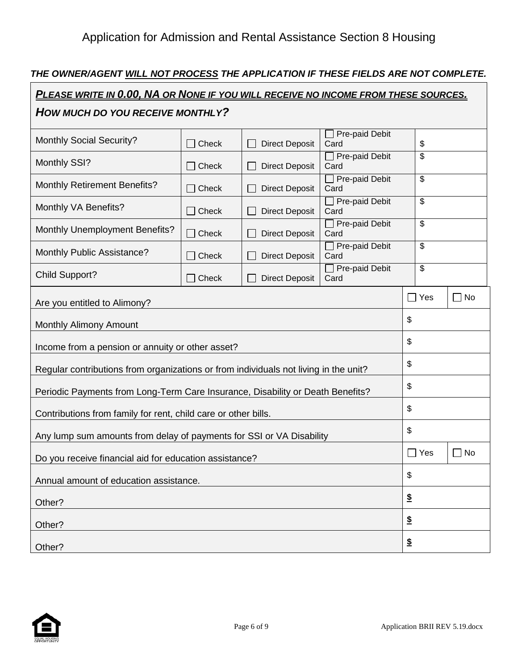## *THE OWNER/AGENT WILL NOT PROCESS THE APPLICATION IF THESE FIELDS ARE NOT COMPLETE.*

| PLEASE WRITE IN 0.00, NA OR NONE IF YOU WILL RECEIVE NO INCOME FROM THESE SOURCES.   |       |                       |                               |                          |              |
|--------------------------------------------------------------------------------------|-------|-----------------------|-------------------------------|--------------------------|--------------|
| HOW MUCH DO YOU RECEIVE MONTHLY?                                                     |       |                       |                               |                          |              |
| <b>Monthly Social Security?</b>                                                      | Check | <b>Direct Deposit</b> | Pre-paid Debit<br>Card        | \$                       |              |
| Monthly SSI?                                                                         | Check | <b>Direct Deposit</b> | Pre-paid Debit<br>Card        | \$                       |              |
| <b>Monthly Retirement Benefits?</b>                                                  | Check | <b>Direct Deposit</b> | Pre-paid Debit<br>Card        | \$                       |              |
| Monthly VA Benefits?                                                                 | Check | <b>Direct Deposit</b> | Pre-paid Debit<br>Card        | \$                       |              |
| <b>Monthly Unemployment Benefits?</b>                                                | Check | <b>Direct Deposit</b> | $\Box$ Pre-paid Debit<br>Card | \$                       |              |
| Monthly Public Assistance?                                                           | Check | <b>Direct Deposit</b> | Pre-paid Debit<br>Card        | \$                       |              |
| <b>Child Support?</b>                                                                | Check | <b>Direct Deposit</b> | Pre-paid Debit<br>Card        | $\overline{\mathcal{S}}$ |              |
| Are you entitled to Alimony?                                                         |       |                       |                               | $\Box$ Yes               | No<br>$\Box$ |
| <b>Monthly Alimony Amount</b>                                                        |       |                       |                               | \$                       |              |
| Income from a pension or annuity or other asset?                                     |       |                       |                               | \$                       |              |
| Regular contributions from organizations or from individuals not living in the unit? |       |                       |                               | \$                       |              |
| Periodic Payments from Long-Term Care Insurance, Disability or Death Benefits?       |       |                       |                               | \$                       |              |
| Contributions from family for rent, child care or other bills.                       |       |                       |                               | \$                       |              |
| Any lump sum amounts from delay of payments for SSI or VA Disability                 |       |                       |                               | \$                       |              |
| Do you receive financial aid for education assistance?                               |       |                       |                               | $\Box$ Yes               | No<br>r i    |
| Annual amount of education assistance.                                               |       |                       |                               | \$                       |              |
| Other?                                                                               |       |                       |                               | $\underline{\$}$         |              |
| Other?                                                                               |       |                       |                               | $\underline{\$}$         |              |
| Other?                                                                               |       |                       |                               | $\boldsymbol{\hat{z}}$   |              |

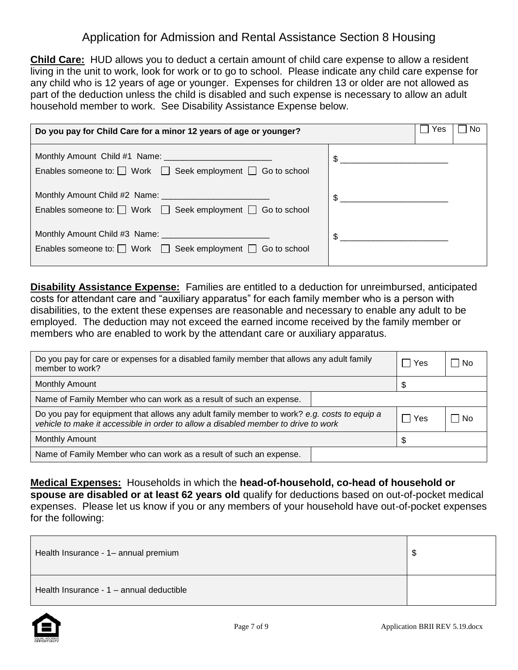**Child Care:** HUD allows you to deduct a certain amount of child care expense to allow a resident living in the unit to work, look for work or to go to school. Please indicate any child care expense for any child who is 12 years of age or younger. Expenses for children 13 or older are not allowed as part of the deduction unless the child is disabled and such expense is necessary to allow an adult household member to work. See Disability Assistance Expense below.

| Do you pay for Child Care for a minor 12 years of age or younger?          | Yes<br>No      |
|----------------------------------------------------------------------------|----------------|
| Enables someone to: $\Box$ Work $\Box$ Seek employment $\Box$ Go to school | $\frac{1}{2}$  |
| Enables someone to: $\Box$ Work $\Box$ Seek employment $\Box$ Go to school | $\frac{1}{2}$  |
| Enables someone to: $\Box$ Work $\Box$ Seek employment $\Box$ Go to school | $\mathfrak{S}$ |

**Disability Assistance Expense:** Families are entitled to a deduction for unreimbursed, anticipated costs for attendant care and "auxiliary apparatus" for each family member who is a person with disabilities, to the extent these expenses are reasonable and necessary to enable any adult to be employed. The deduction may not exceed the earned income received by the family member or members who are enabled to work by the attendant care or auxiliary apparatus.

| Do you pay for care or expenses for a disabled family member that allows any adult family<br>member to work?                                                                      |  | Yes | No   |
|-----------------------------------------------------------------------------------------------------------------------------------------------------------------------------------|--|-----|------|
| <b>Monthly Amount</b>                                                                                                                                                             |  |     |      |
| Name of Family Member who can work as a result of such an expense.                                                                                                                |  |     |      |
| Do you pay for equipment that allows any adult family member to work? e.g. costs to equip a<br>vehicle to make it accessible in order to allow a disabled member to drive to work |  | Yes | l No |
| Monthly Amount                                                                                                                                                                    |  |     |      |
| Name of Family Member who can work as a result of such an expense.                                                                                                                |  |     |      |

**Medical Expenses:** Households in which the **head-of-household, co-head of household or spouse are disabled or at least 62 years old** qualify for deductions based on out-of-pocket medical expenses. Please let us know if you or any members of your household have out-of-pocket expenses for the following:

| Health Insurance - 1- annual premium     |  |
|------------------------------------------|--|
| Health Insurance - 1 - annual deductible |  |

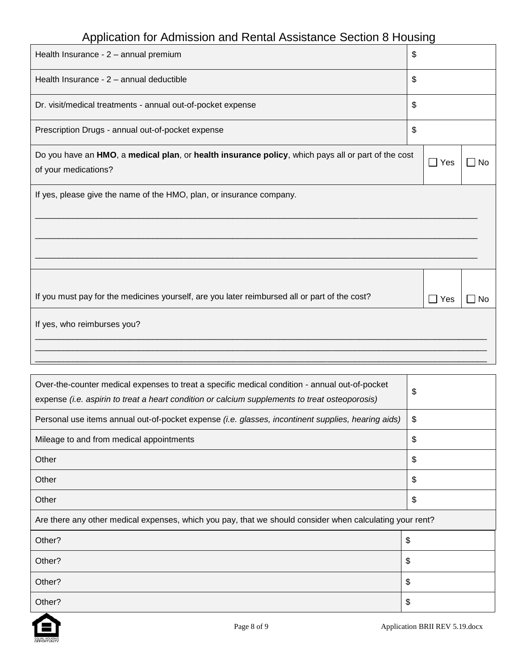| Health Insurance - 2 - annual premium                                                              | \$                    |           |
|----------------------------------------------------------------------------------------------------|-----------------------|-----------|
| Health Insurance - 2 - annual deductible                                                           | \$                    |           |
| Dr. visit/medical treatments - annual out-of-pocket expense                                        | \$                    |           |
| Prescription Drugs - annual out-of-pocket expense                                                  | \$                    |           |
| Do you have an HMO, a medical plan, or health insurance policy, which pays all or part of the cost | $\Box$ Yes            | <b>No</b> |
| of your medications?                                                                               |                       |           |
| If yes, please give the name of the HMO, plan, or insurance company.                               |                       |           |
|                                                                                                    |                       |           |
|                                                                                                    |                       |           |
|                                                                                                    |                       |           |
|                                                                                                    |                       |           |
|                                                                                                    |                       |           |
| If you must pay for the medicines yourself, are you later reimbursed all or part of the cost?      | Yes<br>$\blacksquare$ | No        |
| If yes, who reimburses you?                                                                        |                       |           |
|                                                                                                    |                       |           |
|                                                                                                    |                       |           |

| Over-the-counter medical expenses to treat a specific medical condition - annual out-of-pocket<br>expense (i.e. aspirin to treat a heart condition or calcium supplements to treat osteoporosis) | \$ |  |
|--------------------------------------------------------------------------------------------------------------------------------------------------------------------------------------------------|----|--|
| Personal use items annual out-of-pocket expense (i.e. glasses, incontinent supplies, hearing aids)                                                                                               | \$ |  |
| Mileage to and from medical appointments                                                                                                                                                         | \$ |  |
| Other                                                                                                                                                                                            | \$ |  |
| Other                                                                                                                                                                                            | \$ |  |
| Other                                                                                                                                                                                            | \$ |  |
| Are there any other medical expenses, which you pay, that we should consider when calculating your rent?                                                                                         |    |  |
| Other?                                                                                                                                                                                           | \$ |  |
| Other?<br>\$                                                                                                                                                                                     |    |  |
| Other?                                                                                                                                                                                           | \$ |  |
| Other?                                                                                                                                                                                           | S  |  |